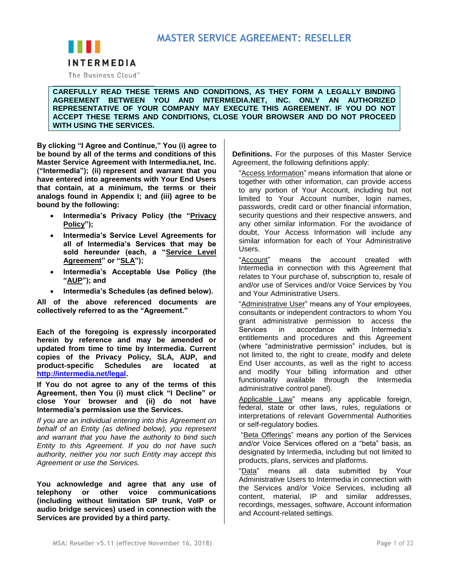

The Business Cloud<sup>™</sup>

**CAREFULLY READ THESE TERMS AND CONDITIONS, AS THEY FORM A LEGALLY BINDING AGREEMENT BETWEEN YOU AND INTERMEDIA.NET, INC. ONLY AN AUTHORIZED REPRESENTATIVE OF YOUR COMPANY MAY EXECUTE THIS AGREEMENT. IF YOU DO NOT ACCEPT THESE TERMS AND CONDITIONS, CLOSE YOUR BROWSER AND DO NOT PROCEED WITH USING THE SERVICES.**

**By clicking "I Agree and Continue," You (i) agree to be bound by all of the terms and conditions of this Master Service Agreement with Intermedia.net, Inc. ("Intermedia"); (ii) represent and warrant that you have entered into agreements with Your End Users that contain, at a minimum, the terms or their analogs found in Appendix I; and (iii) agree to be bound by the following:**

- **Intermedia's Privacy Policy (the "Privacy Policy");**
- **Intermedia's Service Level Agreements for all of Intermedia's Services that may be sold hereunder (each, a "Service Level Agreement" or "SLA");**
- **Intermedia's Acceptable Use Policy (the "AUP"); and**
- **Intermedia's Schedules (as defined below).**

**All of the above referenced documents are collectively referred to as the "Agreement."**

**Each of the foregoing is expressly incorporated herein by reference and may be amended or updated from time to time by Intermedia. Current copies of the Privacy Policy, SLA, AUP, and product-specific Schedules are located at [http://intermedia.net/legal.](http://intermedia.net/legal)**

**If You do not agree to any of the terms of this Agreement, then You (i) must click "I Decline" or close Your browser and (ii) do not have Intermedia's permission use the Services.**

*If you are an individual entering into this Agreement on behalf of an Entity (as defined below), you represent and warrant that you have the authority to bind such Entity to this Agreement. If you do not have such authority, neither you nor such Entity may accept this Agreement or use the Services.*

**You acknowledge and agree that any use of telephony or other voice communications (including without limitation SIP trunk, VoIP or audio bridge services) used in connection with the Services are provided by a third party.**

**Definitions.** For the purposes of this Master Service Agreement, the following definitions apply:

"Access Information" means information that alone or together with other information, can provide access to any portion of Your Account, including but not limited to Your Account number, login names, passwords, credit card or other financial information, security questions and their respective answers, and any other similar information. For the avoidance of doubt, Your Access Information will include any similar information for each of Your Administrative Users.

"Account" means the account created with Intermedia in connection with this Agreement that relates to Your purchase of, subscription to, resale of and/or use of Services and/or Voice Services by You and Your Administrative Users.

"Administrative User" means any of Your employees, consultants or independent contractors to whom You grant administrative permission to access the Services in accordance with Intermedia's entitlements and procedures and this Agreement (where "administrative permission" includes, but is not limited to, the right to create, modify and delete End User accounts, as well as the right to access and modify Your billing information and other functionality available through the Intermedia administrative control panel).

Applicable Law" means any applicable foreign, federal, state or other laws, rules, regulations or interpretations of relevant Governmental Authorities or self-regulatory bodies.

"Beta Offerings" means any portion of the Services and/or Voice Services offered on a "beta" basis, as designated by Intermedia, including but not limited to products, plans, services and platforms.

"Data" means all data submitted by Your Administrative Users to Intermedia in connection with the Services and/or Voice Services, including all content, material, IP and similar addresses, recordings, messages, software, Account information and Account-related settings.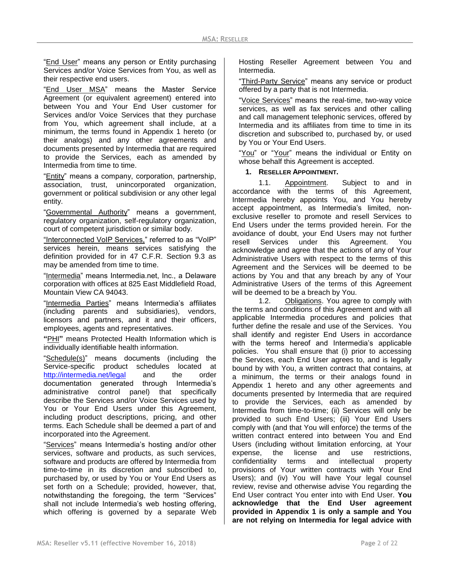"End User" means any person or Entity purchasing Services and/or Voice Services from You, as well as their respective end users.

"End User MSA" means the Master Service Agreement (or equivalent agreement) entered into between You and Your End User customer for Services and/or Voice Services that they purchase from You, which agreement shall include, at a minimum, the terms found in Appendix 1 hereto (or their analogs) and any other agreements and documents presented by Intermedia that are required to provide the Services, each as amended by Intermedia from time to time.

"Entity" means a company, corporation, partnership, association, trust, unincorporated organization, government or political subdivision or any other legal entity.

"Governmental Authority" means a government, regulatory organization, self-regulatory organization, court of competent jurisdiction or similar body.

"Interconnected VoIP Services," referred to as "VoIP" services herein, means services satisfying the definition provided for in 47 C.F.R. Section 9.3 as may be amended from time to time.

"Intermedia" means Intermedia.net, Inc., a Delaware corporation with offices at 825 East Middlefield Road, Mountain View CA 94043.

"Intermedia Parties" means Intermedia's affiliates (including parents and subsidiaries), vendors, licensors and partners, and it and their officers, employees, agents and representatives.

**"**PHI**"** means Protected Health Information which is individually identifiable health information.

"Schedule(s)" means documents (including the Service-specific product schedules located at <http://intermedia.net/legal> and the order documentation generated through Intermedia's administrative control panel) that specifically describe the Services and/or Voice Services used by You or Your End Users under this Agreement, including product descriptions, pricing, and other terms. Each Schedule shall be deemed a part of and incorporated into the Agreement.

"Services" means Intermedia's hosting and/or other services, software and products, as such services, software and products are offered by Intermedia from time-to-time in its discretion and subscribed to, purchased by, or used by You or Your End Users as set forth on a Schedule; provided, however, that, notwithstanding the foregoing, the term "Services" shall not include Intermedia's web hosting offering, which offering is governed by a separate Web Hosting Reseller Agreement between You and Intermedia.

"Third-Party Service" means any service or product offered by a party that is not Intermedia.

"Voice Services" means the real-time, two-way voice services, as well as fax services and other calling and call management telephonic services, offered by Intermedia and its affiliates from time to time in its discretion and subscribed to, purchased by, or used by You or Your End Users.

"You" or "Your" means the individual or Entity on whose behalf this Agreement is accepted.

### **1. RESELLER APPOINTMENT.**

1.1. Appointment. Subject to and in accordance with the terms of this Agreement, Intermedia hereby appoints You, and You hereby accept appointment, as Intermedia's limited, nonexclusive reseller to promote and resell Services to End Users under the terms provided herein. For the avoidance of doubt, your End Users may not further resell Services under this Agreement. You acknowledge and agree that the actions of any of Your Administrative Users with respect to the terms of this Agreement and the Services will be deemed to be actions by You and that any breach by any of Your Administrative Users of the terms of this Agreement will be deemed to be a breach by You.

1.2. Obligations. You agree to comply with the terms and conditions of this Agreement and with all applicable Intermedia procedures and policies that further define the resale and use of the Services. You shall identify and register End Users in accordance with the terms hereof and Intermedia's applicable policies. You shall ensure that (i) prior to accessing the Services, each End User agrees to, and is legally bound by with You, a written contract that contains, at a minimum, the terms or their analogs found in Appendix 1 hereto and any other agreements and documents presented by Intermedia that are required to provide the Services, each as amended by Intermedia from time-to-time; (ii) Services will only be provided to such End Users; (iii) Your End Users comply with (and that You will enforce) the terms of the written contract entered into between You and End Users (including without limitation enforcing, at Your expense, the license and use restrictions, confidentiality terms and intellectual property provisions of Your written contracts with Your End Users); and (iv) You will have Your legal counsel review, revise and otherwise advise You regarding the End User contract You enter into with End User. **You acknowledge that the End User agreement provided in Appendix 1 is only a sample and You are not relying on Intermedia for legal advice with**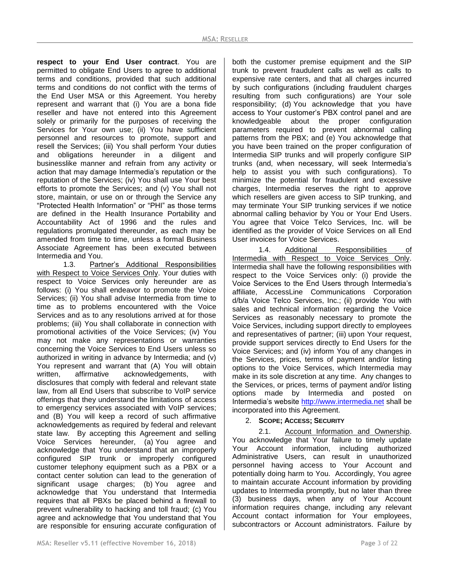**respect to your End User contract**. You are permitted to obligate End Users to agree to additional terms and conditions, provided that such additional terms and conditions do not conflict with the terms of the End User MSA or this Agreement. You hereby represent and warrant that (i) You are a bona fide reseller and have not entered into this Agreement solely or primarily for the purposes of receiving the Services for Your own use; (ii) You have sufficient personnel and resources to promote, support and resell the Services; (iii) You shall perform Your duties and obligations hereunder in a diligent and businesslike manner and refrain from any activity or action that may damage Intermedia's reputation or the reputation of the Services; (iv) You shall use Your best efforts to promote the Services; and (v) You shall not store, maintain, or use on or through the Service any "Protected Health Information" or "PHI" as those terms are defined in the Health Insurance Portability and Accountability Act of 1996 and the rules and regulations promulgated thereunder, as each may be amended from time to time, unless a formal Business Associate Agreement has been executed between Intermedia and You.

1.3. Partner's Additional Responsibilities with Respect to Voice Services Only. Your duties with respect to Voice Services only hereunder are as follows: (i) You shall endeavor to promote the Voice Services; (ii) You shall advise Intermedia from time to time as to problems encountered with the Voice Services and as to any resolutions arrived at for those problems; (iii) You shall collaborate in connection with promotional activities of the Voice Services; (iv) You may not make any representations or warranties concerning the Voice Services to End Users unless so authorized in writing in advance by Intermedia; and (v) You represent and warrant that (A) You will obtain written, affirmative acknowledgements, with disclosures that comply with federal and relevant state law, from all End Users that subscribe to VoIP service offerings that they understand the limitations of access to emergency services associated with VoIP services; and (B) You will keep a record of such affirmative acknowledgements as required by federal and relevant state law. By accepting this Agreement and selling Voice Services hereunder, (a) You agree and acknowledge that You understand that an improperly configured SIP trunk or improperly configured customer telephony equipment such as a PBX or a contact center solution can lead to the generation of significant usage charges; (b) You agree and acknowledge that You understand that Intermedia requires that all PBXs be placed behind a firewall to prevent vulnerability to hacking and toll fraud; (c) You agree and acknowledge that You understand that You are responsible for ensuring accurate configuration of both the customer premise equipment and the SIP trunk to prevent fraudulent calls as well as calls to expensive rate centers, and that all charges incurred by such configurations (including fraudulent charges resulting from such configurations) are Your sole responsibility; (d) You acknowledge that you have access to Your customer's PBX control panel and are knowledgeable about the proper configuration parameters required to prevent abnormal calling patterns from the PBX; and (e) You acknowledge that you have been trained on the proper configuration of Intermedia SIP trunks and will properly configure SIP trunks (and, when necessary, will seek Intermedia's help to assist you with such configurations). To minimize the potential for fraudulent and excessive charges, Intermedia reserves the right to approve which resellers are given access to SIP trunking, and may terminate Your SIP trunking services if we notice abnormal calling behavior by You or Your End Users. You agree that Voice Telco Services, Inc. will be identified as the provider of Voice Services on all End User invoices for Voice Services.

1.4. Additional Responsibilities of Intermedia with Respect to Voice Services Only. Intermedia shall have the following responsibilities with respect to the Voice Services only: (i) provide the Voice Services to the End Users through Intermedia's affiliate, AccessLine Communications Corporation d/b/a Voice Telco Services, Inc.; (ii) provide You with sales and technical information regarding the Voice Services as reasonably necessary to promote the Voice Services, including support directly to employees and representatives of partner; (iii) upon Your request, provide support services directly to End Users for the Voice Services; and (iv) inform You of any changes in the Services, prices, terms of payment and/or listing options to the Voice Services, which Intermedia may make in its sole discretion at any time. Any changes to the Services, or prices, terms of payment and/or listing options made by Intermedia and posted on Intermedia's website [http://www.intermedia.net](http://www.intermedia.net/) shall be incorporated into this Agreement.

## 2. **SCOPE; ACCESS; SECURITY**

2.1. Account Information and Ownership. You acknowledge that Your failure to timely update Your Account information, including authorized Administrative Users, can result in unauthorized personnel having access to Your Account and potentially doing harm to You. Accordingly, You agree to maintain accurate Account information by providing updates to Intermedia promptly, but no later than three (3) business days, when any of Your Account information requires change, including any relevant Account contact information for Your employees, subcontractors or Account administrators. Failure by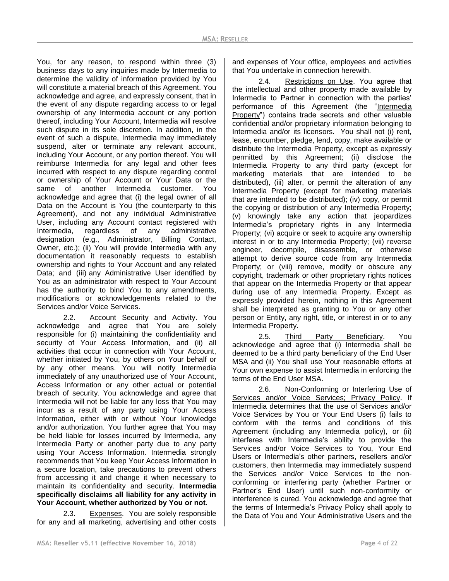You, for any reason, to respond within three (3) business days to any inquiries made by Intermedia to determine the validity of information provided by You will constitute a material breach of this Agreement. You acknowledge and agree, and expressly consent, that in the event of any dispute regarding access to or legal ownership of any Intermedia account or any portion thereof, including Your Account, Intermedia will resolve such dispute in its sole discretion. In addition, in the event of such a dispute, Intermedia may immediately suspend, alter or terminate any relevant account, including Your Account, or any portion thereof. You will reimburse Intermedia for any legal and other fees incurred with respect to any dispute regarding control or ownership of Your Account or Your Data or the same of another Intermedia customer. You acknowledge and agree that (i) the legal owner of all Data on the Account is You (the counterparty to this Agreement), and not any individual Administrative User, including any Account contact registered with Intermedia, regardless of any administrative designation (e.g., Administrator, Billing Contact, Owner, etc.); (ii) You will provide Intermedia with any documentation it reasonably requests to establish ownership and rights to Your Account and any related Data; and (iii) any Administrative User identified by You as an administrator with respect to Your Account has the authority to bind You to any amendments, modifications or acknowledgements related to the Services and/or Voice Services.

2.2. Account Security and Activity. You acknowledge and agree that You are solely responsible for (i) maintaining the confidentiality and security of Your Access Information, and (ii) all activities that occur in connection with Your Account, whether initiated by You, by others on Your behalf or by any other means. You will notify Intermedia immediately of any unauthorized use of Your Account, Access Information or any other actual or potential breach of security. You acknowledge and agree that Intermedia will not be liable for any loss that You may incur as a result of any party using Your Access Information, either with or without Your knowledge and/or authorization. You further agree that You may be held liable for losses incurred by Intermedia, any Intermedia Party or another party due to any party using Your Access Information. Intermedia strongly recommends that You keep Your Access Information in a secure location, take precautions to prevent others from accessing it and change it when necessary to maintain its confidentiality and security. **Intermedia specifically disclaims all liability for any activity in Your Account, whether authorized by You or not.**

2.3. Expenses. You are solely responsible for any and all marketing, advertising and other costs and expenses of Your office, employees and activities that You undertake in connection herewith.

2.4. Restrictions on Use. You agree that the intellectual and other property made available by Intermedia to Partner in connection with the parties' performance of this Agreement (the "Intermedia Property") contains trade secrets and other valuable confidential and/or proprietary information belonging to Intermedia and/or its licensors. You shall not (i) rent, lease, encumber, pledge, lend, copy, make available or distribute the Intermedia Property, except as expressly permitted by this Agreement; (ii) disclose the Intermedia Property to any third party (except for marketing materials that are intended to be distributed), (iii) alter, or permit the alteration of any Intermedia Property (except for marketing materials that are intended to be distributed); (iv) copy, or permit the copying or distribution of any Intermedia Property; (v) knowingly take any action that jeopardizes Intermedia's proprietary rights in any Intermedia Property; (vi) acquire or seek to acquire any ownership interest in or to any Intermedia Property; (vii) reverse engineer, decompile, disassemble, or otherwise attempt to derive source code from any Intermedia Property; or (viii) remove, modify or obscure any copyright, trademark or other proprietary rights notices that appear on the Intermedia Property or that appear during use of any Intermedia Property. Except as expressly provided herein, nothing in this Agreement shall be interpreted as granting to You or any other person or Entity, any right, title, or interest in or to any Intermedia Property.

2.5. Third Party Beneficiary. You acknowledge and agree that (i) Intermedia shall be deemed to be a third party beneficiary of the End User MSA and (ii) You shall use Your reasonable efforts at Your own expense to assist Intermedia in enforcing the terms of the End User MSA.

2.6. Non-Conforming or Interfering Use of Services and/or Voice Services; Privacy Policy. If Intermedia determines that the use of Services and/or Voice Services by You or Your End Users (i) fails to conform with the terms and conditions of this Agreement (including any Intermedia policy), or (ii) interferes with Intermedia's ability to provide the Services and/or Voice Services to You, Your End Users or Intermedia's other partners, resellers and/or customers, then Intermedia may immediately suspend the Services and/or Voice Services to the nonconforming or interfering party (whether Partner or Partner's End User) until such non-conformity or interference is cured. You acknowledge and agree that the terms of Intermedia's Privacy Policy shall apply to the Data of You and Your Administrative Users and the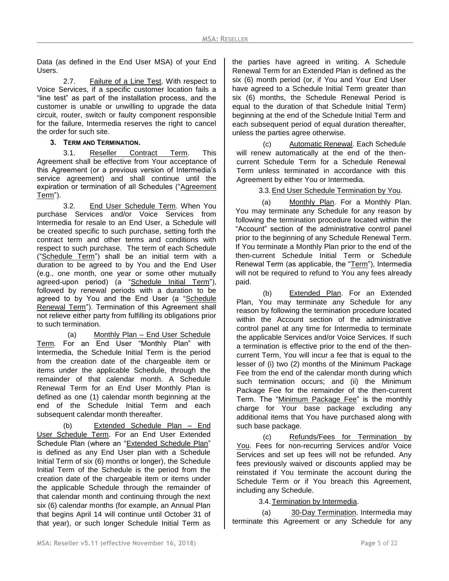Data (as defined in the End User MSA) of your End Users.

2.7. Failure of a Line Test. With respect to Voice Services, if a specific customer location fails a "line test" as part of the installation process, and the customer is unable or unwilling to upgrade the data circuit, router, switch or faulty component responsible for the failure, Intermedia reserves the right to cancel the order for such site.

**3. TERM AND TERMINATION.**

3.1. Reseller Contract Term. This Agreement shall be effective from Your acceptance of this Agreement (or a previous version of Intermedia's service agreement) and shall continue until the expiration or termination of all Schedules ("Agreement Term").

3.2. End User Schedule Term. When You purchase Services and/or Voice Services from Intermedia for resale to an End User, a Schedule will be created specific to such purchase, setting forth the contract term and other terms and conditions with respect to such purchase. The term of each Schedule ("Schedule Term") shall be an initial term with a duration to be agreed to by You and the End User (e.g., one month, one year or some other mutually agreed-upon period) (a "Schedule Initial Term"), followed by renewal periods with a duration to be agreed to by You and the End User (a "Schedule Renewal Term"). Termination of this Agreement shall not relieve either party from fulfilling its obligations prior to such termination.

(a) Monthly Plan – End User Schedule Term*.* For an End User "Monthly Plan" with Intermedia, the Schedule Initial Term is the period from the creation date of the chargeable item or items under the applicable Schedule, through the remainder of that calendar month. A Schedule Renewal Term for an End User Monthly Plan is defined as one (1) calendar month beginning at the end of the Schedule Initial Term and each subsequent calendar month thereafter.

(b) Extended Schedule Plan – End User Schedule Term. For an End User Extended Schedule Plan (where an "Extended Schedule Plan" is defined as any End User plan with a Schedule Initial Term of six (6) months or longer), the Schedule Initial Term of the Schedule is the period from the creation date of the chargeable item or items under the applicable Schedule through the remainder of that calendar month and continuing through the next six (6) calendar months (for example, an Annual Plan that begins April 14 will continue until October 31 of that year), or such longer Schedule Initial Term as

the parties have agreed in writing. A Schedule Renewal Term for an Extended Plan is defined as the six (6) month period (or, if You and Your End User have agreed to a Schedule Initial Term greater than six (6) months, the Schedule Renewal Period is equal to the duration of that Schedule Initial Term) beginning at the end of the Schedule Initial Term and each subsequent period of equal duration thereafter, unless the parties agree otherwise.

(c) Automatic Renewal. Each Schedule will renew automatically at the end of the thencurrent Schedule Term for a Schedule Renewal Term unless terminated in accordance with this Agreement by either You or Intermedia.

3.3.End User Schedule Termination by You.

(a) Monthly Plan. For a Monthly Plan. You may terminate any Schedule for any reason by following the termination procedure located within the "Account" section of the administrative control panel prior to the beginning of any Schedule Renewal Term. If You terminate a Monthly Plan prior to the end of the then-current Schedule Initial Term or Schedule Renewal Term (as applicable, the "Term"), Intermedia will not be required to refund to You any fees already paid.

(b) Extended Plan. For an Extended Plan, You may terminate any Schedule for any reason by following the termination procedure located within the Account section of the administrative control panel at any time for Intermedia to terminate the applicable Services and/or Voice Services. If such a termination is effective prior to the end of the thencurrent Term, You will incur a fee that is equal to the lesser of (i) two (2) months of the Minimum Package Fee from the end of the calendar month during which such termination occurs; and (ii) the Minimum Package Fee for the remainder of the then-current Term. The "Minimum Package Fee" is the monthly charge for Your base package excluding any additional items that You have purchased along with such base package.

(c) Refunds/Fees for Termination by You. Fees for non-recurring Services and/or Voice Services and set up fees will not be refunded. Any fees previously waived or discounts applied may be reinstated if You terminate the account during the Schedule Term or if You breach this Agreement, including any Schedule.

3.4.Termination by Intermedia.

(a) 30-Day Termination. Intermedia may terminate this Agreement or any Schedule for any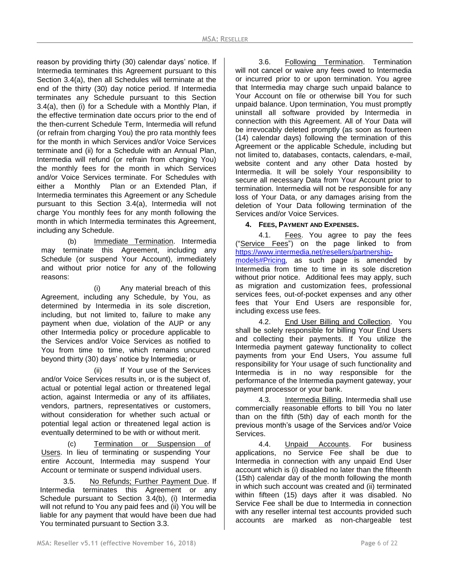reason by providing thirty (30) calendar days' notice. If Intermedia terminates this Agreement pursuant to this Section 3.4(a), then all Schedules will terminate at the end of the thirty (30) day notice period. If Intermedia terminates any Schedule pursuant to this Section 3.4(a), then (i) for a Schedule with a Monthly Plan, if the effective termination date occurs prior to the end of the then-current Schedule Term, Intermedia will refund (or refrain from charging You) the pro rata monthly fees for the month in which Services and/or Voice Services terminate and (ii) for a Schedule with an Annual Plan, Intermedia will refund (or refrain from charging You) the monthly fees for the month in which Services and/or Voice Services terminate. For Schedules with either a Monthly Plan or an Extended Plan, if Intermedia terminates this Agreement or any Schedule pursuant to this Section 3.4(a), Intermedia will not charge You monthly fees for any month following the month in which Intermedia terminates this Agreement, including any Schedule.

(b) Immediate Termination. Intermedia may terminate this Agreement, including any Schedule (or suspend Your Account), immediately and without prior notice for any of the following reasons:

(i) Any material breach of this Agreement, including any Schedule, by You, as determined by Intermedia in its sole discretion, including, but not limited to, failure to make any payment when due, violation of the AUP or any other Intermedia policy or procedure applicable to the Services and/or Voice Services as notified to You from time to time, which remains uncured beyond thirty (30) days' notice by Intermedia; or

(ii) If Your use of the Services and/or Voice Services results in, or is the subject of, actual or potential legal action or threatened legal action, against Intermedia or any of its affiliates, vendors, partners, representatives or customers, without consideration for whether such actual or potential legal action or threatened legal action is eventually determined to be with or without merit.

(c) Termination or Suspension of Users. In lieu of terminating or suspending Your entire Account, Intermedia may suspend Your Account or terminate or suspend individual users.

3.5. No Refunds; Further Payment Due. If Intermedia terminates this Agreement or any Schedule pursuant to Section 3.4(b), (i) Intermedia will not refund to You any paid fees and (ii) You will be liable for any payment that would have been due had You terminated pursuant to Section 3.3.

3.6. Following Termination. Termination will not cancel or waive any fees owed to Intermedia or incurred prior to or upon termination. You agree that Intermedia may charge such unpaid balance to Your Account on file or otherwise bill You for such unpaid balance. Upon termination, You must promptly uninstall all software provided by Intermedia in connection with this Agreement. All of Your Data will be irrevocably deleted promptly (as soon as fourteen (14) calendar days) following the termination of this Agreement or the applicable Schedule, including but not limited to, databases, contacts, calendars, e-mail, website content and any other Data hosted by Intermedia. It will be solely Your responsibility to secure all necessary Data from Your Account prior to termination. Intermedia will not be responsible for any loss of Your Data, or any damages arising from the deletion of Your Data following termination of the Services and/or Voice Services.

## **4. FEES, PAYMENT AND EXPENSES.**

4.1. Fees. You agree to pay the fees ("Service Fees") on the page linked to from [https://www.intermedia.net/resellers/partnership](https://www.intermedia.net/resellers/partnership-models#Pricing)[models#Pricing](https://www.intermedia.net/resellers/partnership-models#Pricing)*,* as such page is amended by Intermedia from time to time in its sole discretion without prior notice. Additional fees may apply, such as migration and customization fees, professional services fees, out-of-pocket expenses and any other fees that Your End Users are responsible for, including excess use fees.

4.2. End User Billing and Collection. You shall be solely responsible for billing Your End Users and collecting their payments. If You utilize the Intermedia payment gateway functionality to collect payments from your End Users, You assume full responsibility for Your usage of such functionality and Intermedia is in no way responsible for the performance of the Intermedia payment gateway, your payment processor or your bank.

4.3. Intermedia Billing. Intermedia shall use commercially reasonable efforts to bill You no later than on the fifth (5th) day of each month for the previous month's usage of the Services and/or Voice Services.

4.4. Unpaid Accounts. For business applications, no Service Fee shall be due to Intermedia in connection with any unpaid End User account which is (i) disabled no later than the fifteenth (15th) calendar day of the month following the month in which such account was created and (ii) terminated within fifteen (15) days after it was disabled. No Service Fee shall be due to Intermedia in connection with any reseller internal test accounts provided such accounts are marked as non-chargeable test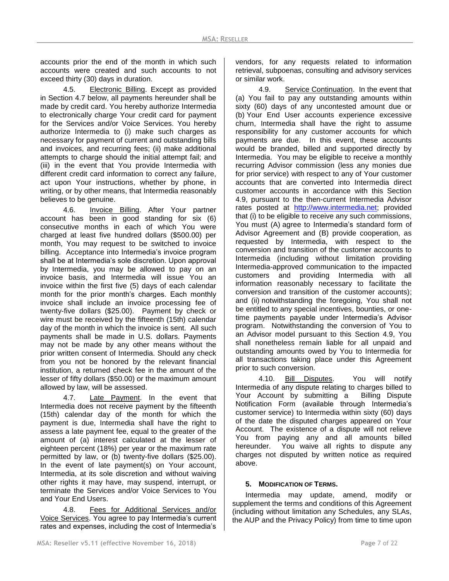accounts prior the end of the month in which such accounts were created and such accounts to not exceed thirty (30) days in duration.

4.5. Electronic Billing. Except as provided in Section 4.7 below, all payments hereunder shall be made by credit card. You hereby authorize Intermedia to electronically charge Your credit card for payment for the Services and/or Voice Services. You hereby authorize Intermedia to (i) make such charges as necessary for payment of current and outstanding bills and invoices, and recurring fees; (ii) make additional attempts to charge should the initial attempt fail; and (iii) in the event that You provide Intermedia with different credit card information to correct any failure, act upon Your instructions, whether by phone, in writing, or by other means, that Intermedia reasonably believes to be genuine.

4.6. Invoice Billing. After Your partner account has been in good standing for six (6) consecutive months in each of which You were charged at least five hundred dollars (\$500.00) per month, You may request to be switched to invoice billing. Acceptance into Intermedia's invoice program shall be at Intermedia's sole discretion. Upon approval by Intermedia, you may be allowed to pay on an invoice basis, and Intermedia will issue You an invoice within the first five (5) days of each calendar month for the prior month's charges. Each monthly invoice shall include an invoice processing fee of twenty-five dollars (\$25.00). Payment by check or wire must be received by the fifteenth (15th) calendar day of the month in which the invoice is sent. All such payments shall be made in U.S. dollars. Payments may not be made by any other means without the prior written consent of Intermedia. Should any check from you not be honored by the relevant financial institution, a returned check fee in the amount of the lesser of fifty dollars (\$50.00) or the maximum amount allowed by law, will be assessed.

4.7. Late Payment. In the event that Intermedia does not receive payment by the fifteenth (15th) calendar day of the month for which the payment is due, Intermedia shall have the right to assess a late payment fee, equal to the greater of the amount of (a) interest calculated at the lesser of eighteen percent (18%) per year or the maximum rate permitted by law, or (b) twenty-five dollars (\$25.00). In the event of late payment(s) on Your account, Intermedia, at its sole discretion and without waiving other rights it may have, may suspend, interrupt, or terminate the Services and/or Voice Services to You and Your End Users.

4.8. Fees for Additional Services and/or Voice Services. You agree to pay Intermedia's current rates and expenses, including the cost of Intermedia's vendors, for any requests related to information retrieval, subpoenas, consulting and advisory services or similar work.

4.9. Service Continuation. In the event that (a) You fail to pay any outstanding amounts within sixty (60) days of any uncontested amount due or (b) Your End User accounts experience excessive churn, Intermedia shall have the right to assume responsibility for any customer accounts for which payments are due. In this event, these accounts would be branded, billed and supported directly by Intermedia. You may be eligible to receive a monthly recurring Advisor commission (less any monies due for prior service) with respect to any of Your customer accounts that are converted into Intermedia direct customer accounts in accordance with this Section 4.9, pursuant to the then-current Intermedia Advisor rates posted at [http://www.intermedia.net;](http://www.intermedia.net/) provided that (i) to be eligible to receive any such commissions, You must (A) agree to Intermedia's standard form of Advisor Agreement and (B) provide cooperation, as requested by Intermedia, with respect to the conversion and transition of the customer accounts to Intermedia (including without limitation providing Intermedia-approved communication to the impacted customers and providing Intermedia with all information reasonably necessary to facilitate the conversion and transition of the customer accounts); and (ii) notwithstanding the foregoing, You shall not be entitled to any special incentives, bounties, or onetime payments payable under Intermedia's Advisor program. Notwithstanding the conversion of You to an Advisor model pursuant to this Section 4.9, You shall nonetheless remain liable for all unpaid and outstanding amounts owed by You to Intermedia for all transactions taking place under this Agreement prior to such conversion.

4.10. Bill Disputes. You will notify Intermedia of any dispute relating to charges billed to Your Account by submitting a Billing Dispute Notification Form (available through Intermedia's customer service) to Intermedia within sixty (60) days of the date the disputed charges appeared on Your Account. The existence of a dispute will not relieve You from paying any and all amounts billed hereunder. You waive all rights to dispute any charges not disputed by written notice as required above.

## **5. MODIFICATION OF TERMS.**

Intermedia may update, amend, modify or supplement the terms and conditions of this Agreement (including without limitation any Schedules, any SLAs, the AUP and the Privacy Policy) from time to time upon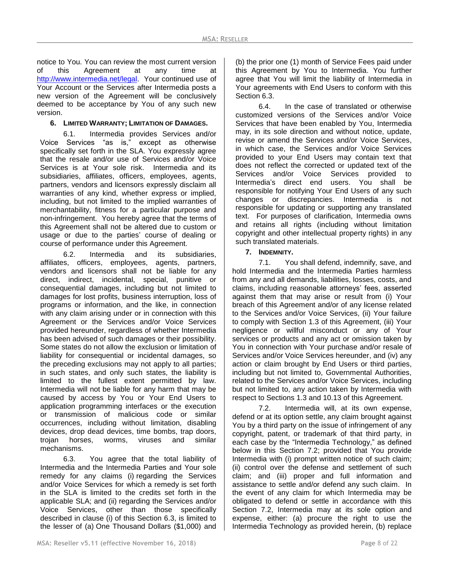notice to You. You can review the most current version of this Agreement at any time at [http://www.intermedia.net/legal.](http://www.intermedia.net/legal) Your continued use of Your Account or the Services after Intermedia posts a new version of the Agreement will be conclusively deemed to be acceptance by You of any such new version.

### **6. LIMITED WARRANTY; LIMITATION OF DAMAGES.**

6.1. Intermedia provides Services and/or Voice Services "as is," except as otherwise specifically set forth in the SLA. You expressly agree that the resale and/or use of Services and/or Voice Services is at Your sole risk. Intermedia and its subsidiaries, affiliates, officers, employees, agents, partners, vendors and licensors expressly disclaim all warranties of any kind, whether express or implied, including, but not limited to the implied warranties of merchantability, fitness for a particular purpose and non-infringement. You hereby agree that the terms of this Agreement shall not be altered due to custom or usage or due to the parties' course of dealing or course of performance under this Agreement.

6.2. Intermedia and its subsidiaries, affiliates, officers, employees, agents, partners, vendors and licensors shall not be liable for any direct, indirect, incidental, special, punitive or consequential damages, including but not limited to damages for lost profits, business interruption, loss of programs or information, and the like, in connection with any claim arising under or in connection with this Agreement or the Services and/or Voice Services provided hereunder, regardless of whether Intermedia has been advised of such damages or their possibility. Some states do not allow the exclusion or limitation of liability for consequential or incidental damages, so the preceding exclusions may not apply to all parties; in such states, and only such states, the liability is limited to the fullest extent permitted by law. Intermedia will not be liable for any harm that may be caused by access by You or Your End Users to application programming interfaces or the execution or transmission of malicious code or similar occurrences, including without limitation, disabling devices, drop dead devices, time bombs, trap doors, trojan horses, worms, viruses and similar mechanisms.

6.3. You agree that the total liability of Intermedia and the Intermedia Parties and Your sole remedy for any claims (i) regarding the Services and/or Voice Services for which a remedy is set forth in the SLA is limited to the credits set forth in the applicable SLA; and (ii) regarding the Services and/or Voice Services, other than those specifically described in clause (i) of this Section 6.3, is limited to the lesser of (a) One Thousand Dollars (\$1,000) and (b) the prior one (1) month of Service Fees paid under this Agreement by You to Intermedia. You further agree that You will limit the liability of Intermedia in Your agreements with End Users to conform with this Section 6.3.

6.4. In the case of translated or otherwise customized versions of the Services and/or Voice Services that have been enabled by You, Intermedia may, in its sole direction and without notice, update, revise or amend the Services and/or Voice Services, in which case, the Services and/or Voice Services provided to your End Users may contain text that does not reflect the corrected or updated text of the Services and/or Voice Services provided to Intermedia's direct end users. You shall be responsible for notifying Your End Users of any such changes or discrepancies. Intermedia is not responsible for updating or supporting any translated text. For purposes of clarification, Intermedia owns and retains all rights (including without limitation copyright and other intellectual property rights) in any such translated materials.

### **7. INDEMNITY.**

7.1. You shall defend, indemnify, save, and hold Intermedia and the Intermedia Parties harmless from any and all demands, liabilities, losses, costs, and claims, including reasonable attorneys' fees, asserted against them that may arise or result from (i) Your breach of this Agreement and/or of any license related to the Services and/or Voice Services, (ii) Your failure to comply with Section 1.3 of this Agreement, (iii) Your negligence or willful misconduct or any of Your services or products and any act or omission taken by You in connection with Your purchase and/or resale of Services and/or Voice Services hereunder, and (iv) any action or claim brought by End Users or third parties, including but not limited to, Governmental Authorities, related to the Services and/or Voice Services, including but not limited to, any action taken by Intermedia with respect to Sections 1.3 and 10.13 of this Agreement.

7.2. Intermedia will, at its own expense, defend or at its option settle, any claim brought against You by a third party on the issue of infringement of any copyright, patent, or trademark of that third party, in each case by the "Intermedia Technology," as defined below in this Section 7.2; provided that You provide Intermedia with (i) prompt written notice of such claim; (ii) control over the defense and settlement of such claim; and (iii) proper and full information and assistance to settle and/or defend any such claim. In the event of any claim for which Intermedia may be obligated to defend or settle in accordance with this Section 7.2, Intermedia may at its sole option and expense, either: (a) procure the right to use the Intermedia Technology as provided herein, (b) replace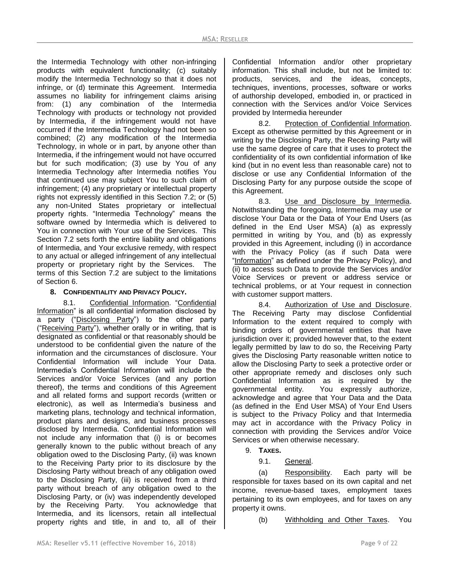the Intermedia Technology with other non-infringing products with equivalent functionality; (c) suitably modify the Intermedia Technology so that it does not infringe, or (d) terminate this Agreement. Intermedia assumes no liability for infringement claims arising from: (1) any combination of the Intermedia Technology with products or technology not provided by Intermedia, if the infringement would not have occurred if the Intermedia Technology had not been so combined; (2) any modification of the Intermedia Technology, in whole or in part, by anyone other than Intermedia, if the infringement would not have occurred but for such modification; (3) use by You of any Intermedia Technology after Intermedia notifies You that continued use may subject You to such claim of infringement; (4) any proprietary or intellectual property rights not expressly identified in this Section 7.2; or (5) any non-United States proprietary or intellectual property rights. "Intermedia Technology" means the software owned by Intermedia which is delivered to You in connection with Your use of the Services. This Section 7.2 sets forth the entire liability and obligations of Intermedia, and Your exclusive remedy, with respect to any actual or alleged infringement of any intellectual property or proprietary right by the Services. The terms of this Section 7.2 are subject to the limitations of Section 6.

### **8. CONFIDENTIALITY AND PRIVACY POLICY.**

8.1. Confidential Information. "Confidential Information" is all confidential information disclosed by a party ("Disclosing Party") to the other party ("Receiving Party"), whether orally or in writing, that is designated as confidential or that reasonably should be understood to be confidential given the nature of the information and the circumstances of disclosure. Your Confidential Information will include Your Data. Intermedia's Confidential Information will include the Services and/or Voice Services (and any portion thereof), the terms and conditions of this Agreement and all related forms and support records (written or electronic), as well as Intermedia's business and marketing plans, technology and technical information, product plans and designs, and business processes disclosed by Intermedia. Confidential Information will not include any information that (i) is or becomes generally known to the public without breach of any obligation owed to the Disclosing Party, (ii) was known to the Receiving Party prior to its disclosure by the Disclosing Party without breach of any obligation owed to the Disclosing Party, (iii) is received from a third party without breach of any obligation owed to the Disclosing Party, or (iv) was independently developed by the Receiving Party. You acknowledge that Intermedia, and its licensors, retain all intellectual property rights and title, in and to, all of their

Confidential Information and/or other proprietary information. This shall include, but not be limited to: products, services, and the ideas, concepts, techniques, inventions, processes, software or works of authorship developed, embodied in, or practiced in connection with the Services and/or Voice Services provided by Intermedia hereunder

8.2. Protection of Confidential Information. Except as otherwise permitted by this Agreement or in writing by the Disclosing Party, the Receiving Party will use the same degree of care that it uses to protect the confidentiality of its own confidential information of like kind (but in no event less than reasonable care) not to disclose or use any Confidential Information of the Disclosing Party for any purpose outside the scope of this Agreement.

8.3. Use and Disclosure by Intermedia. Notwithstanding the foregoing, Intermedia may use or disclose Your Data or the Data of Your End Users (as defined in the End User MSA) (a) as expressly permitted in writing by You, and (b) as expressly provided in this Agreement, including (i) in accordance with the Privacy Policy (as if such Data were "Information" as defined under the Privacy Policy), and (ii) to access such Data to provide the Services and/or Voice Services or prevent or address service or technical problems, or at Your request in connection with customer support matters.

8.4. Authorization of Use and Disclosure. The Receiving Party may disclose Confidential Information to the extent required to comply with binding orders of governmental entities that have jurisdiction over it; provided however that, to the extent legally permitted by law to do so, the Receiving Party gives the Disclosing Party reasonable written notice to allow the Disclosing Party to seek a protective order or other appropriate remedy and discloses only such Confidential Information as is required by the governmental entity. You expressly authorize, acknowledge and agree that Your Data and the Data (as defined in the End User MSA) of Your End Users is subject to the Privacy Policy and that Intermedia may act in accordance with the Privacy Policy in connection with providing the Services and/or Voice Services or when otherwise necessary.

9. **TAXES.**

9.1. General.

(a) Responsibility. Each party will be responsible for taxes based on its own capital and net income, revenue-based taxes, employment taxes pertaining to its own employees, and for taxes on any property it owns.

(b) Withholding and Other Taxes. You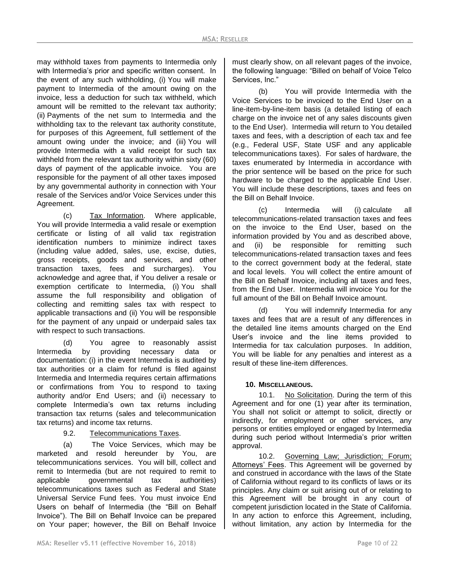may withhold taxes from payments to Intermedia only with Intermedia's prior and specific written consent. In the event of any such withholding, (i) You will make payment to Intermedia of the amount owing on the invoice, less a deduction for such tax withheld, which amount will be remitted to the relevant tax authority; (ii) Payments of the net sum to Intermedia and the withholding tax to the relevant tax authority constitute, for purposes of this Agreement, full settlement of the amount owing under the invoice; and (iii) You will provide Intermedia with a valid receipt for such tax withheld from the relevant tax authority within sixty (60) days of payment of the applicable invoice. You are responsible for the payment of all other taxes imposed by any governmental authority in connection with Your resale of the Services and/or Voice Services under this Agreement.

(c) Tax Information. Where applicable, You will provide Intermedia a valid resale or exemption certificate or listing of all valid tax registration identification numbers to minimize indirect taxes (including value added, sales, use, excise, duties, gross receipts, goods and services, and other transaction taxes, fees and surcharges). You acknowledge and agree that, if You deliver a resale or exemption certificate to Intermedia, (i) You shall assume the full responsibility and obligation of collecting and remitting sales tax with respect to applicable transactions and (ii) You will be responsible for the payment of any unpaid or underpaid sales tax with respect to such transactions.

(d) You agree to reasonably assist Intermedia by providing necessary data or documentation: (i) in the event Intermedia is audited by tax authorities or a claim for refund is filed against Intermedia and Intermedia requires certain affirmations or confirmations from You to respond to taxing authority and/or End Users; and (ii) necessary to complete Intermedia's own tax returns including transaction tax returns (sales and telecommunication tax returns) and income tax returns.

9.2. Telecommunications Taxes.

(a) The Voice Services, which may be marketed and resold hereunder by You, are telecommunications services. You will bill, collect and remit to Intermedia (but are not required to remit to applicable governmental tax authorities) telecommunications taxes such as Federal and State Universal Service Fund fees. You must invoice End Users on behalf of Intermedia (the "Bill on Behalf Invoice"). The Bill on Behalf Invoice can be prepared on Your paper; however, the Bill on Behalf Invoice

must clearly show, on all relevant pages of the invoice, the following language: "Billed on behalf of Voice Telco Services, Inc."

(b) You will provide Intermedia with the Voice Services to be invoiced to the End User on a line-item-by-line-item basis (a detailed listing of each charge on the invoice net of any sales discounts given to the End User). Intermedia will return to You detailed taxes and fees, with a description of each tax and fee (e.g., Federal USF, State USF and any applicable telecommunications taxes). For sales of hardware, the taxes enumerated by Intermedia in accordance with the prior sentence will be based on the price for such hardware to be charged to the applicable End User. You will include these descriptions, taxes and fees on the Bill on Behalf Invoice.

(c) Intermedia will (i) calculate all telecommunications-related transaction taxes and fees on the invoice to the End User, based on the information provided by You and as described above, and (ii) be responsible for remitting such telecommunications-related transaction taxes and fees to the correct government body at the federal, state and local levels. You will collect the entire amount of the Bill on Behalf Invoice, including all taxes and fees, from the End User. Intermedia will invoice You for the full amount of the Bill on Behalf Invoice amount.

(d) You will indemnify Intermedia for any taxes and fees that are a result of any differences in the detailed line items amounts charged on the End User's invoice and the line items provided to Intermedia for tax calculation purposes. In addition, You will be liable for any penalties and interest as a result of these line-item differences.

# **10. MISCELLANEOUS.**

10.1. No Solicitation. During the term of this Agreement and for one (1) year after its termination, You shall not solicit or attempt to solicit, directly or indirectly, for employment or other services, any persons or entities employed or engaged by Intermedia during such period without Intermedia's prior written approval.

10.2. Governing Law; Jurisdiction; Forum; Attorneys' Fees. This Agreement will be governed by and construed in accordance with the laws of the State of California without regard to its conflicts of laws or its principles. Any claim or suit arising out of or relating to this Agreement will be brought in any court of competent jurisdiction located in the State of California. In any action to enforce this Agreement, including, without limitation, any action by Intermedia for the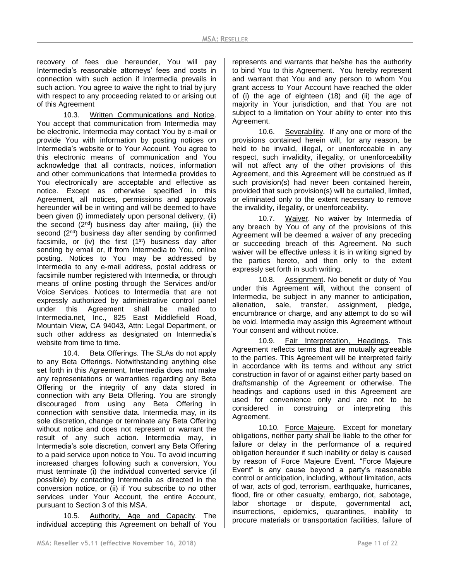recovery of fees due hereunder, You will pay Intermedia's reasonable attorneys' fees and costs in connection with such action if Intermedia prevails in such action. You agree to waive the right to trial by jury with respect to any proceeding related to or arising out of this Agreement

10.3. Written Communications and Notice. You accept that communication from Intermedia may be electronic. Intermedia may contact You by e-mail or provide You with information by posting notices on Intermedia's website or to Your Account. You agree to this electronic means of communication and You acknowledge that all contracts, notices, information and other communications that Intermedia provides to You electronically are acceptable and effective as notice. Except as otherwise specified in this Agreement, all notices, permissions and approvals hereunder will be in writing and will be deemed to have been given (i) immediately upon personal delivery, (ii) the second  $(2^{nd})$  business day after mailing, (iii) the second (2<sup>nd</sup>) business day after sending by confirmed facsimile, or (iv) the first  $(1<sup>st</sup>)$  business day after sending by email or, if from Intermedia to You, online posting. Notices to You may be addressed by Intermedia to any e-mail address, postal address or facsimile number registered with Intermedia, or through means of online posting through the Services and/or Voice Services. Notices to Intermedia that are not expressly authorized by administrative control panel under this Agreement shall be mailed to Intermedia.net, Inc., 825 East Middlefield Road, Mountain View, CA 94043, Attn: Legal Department, or such other address as designated on Intermedia's website from time to time.

10.4. Beta Offerings. The SLAs do not apply to any Beta Offerings. Notwithstanding anything else set forth in this Agreement, Intermedia does not make any representations or warranties regarding any Beta Offering or the integrity of any data stored in connection with any Beta Offering. You are strongly discouraged from using any Beta Offering in connection with sensitive data. Intermedia may, in its sole discretion, change or terminate any Beta Offering without notice and does not represent or warrant the result of any such action. Intermedia may, in Intermedia's sole discretion, convert any Beta Offering to a paid service upon notice to You. To avoid incurring increased charges following such a conversion, You must terminate (i) the individual converted service (if possible) by contacting Intermedia as directed in the conversion notice, or (ii) if You subscribe to no other services under Your Account, the entire Account, pursuant to Section 3 of this MSA.

10.5. Authority, Age and Capacity. The individual accepting this Agreement on behalf of You

represents and warrants that he/she has the authority to bind You to this Agreement. You hereby represent and warrant that You and any person to whom You grant access to Your Account have reached the older of (i) the age of eighteen (18) and (ii) the age of majority in Your jurisdiction, and that You are not subject to a limitation on Your ability to enter into this Agreement.

10.6. Severability. If any one or more of the provisions contained herein will, for any reason, be held to be invalid, illegal, or unenforceable in any respect, such invalidity, illegality, or unenforceability will not affect any of the other provisions of this Agreement, and this Agreement will be construed as if such provision(s) had never been contained herein, provided that such provision(s) will be curtailed, limited, or eliminated only to the extent necessary to remove the invalidity, illegality, or unenforceability.

10.7. Waiver. No waiver by Intermedia of any breach by You of any of the provisions of this Agreement will be deemed a waiver of any preceding or succeeding breach of this Agreement. No such waiver will be effective unless it is in writing signed by the parties hereto, and then only to the extent expressly set forth in such writing.

10.8. Assignment. No benefit or duty of You under this Agreement will, without the consent of Intermedia, be subject in any manner to anticipation, alienation, sale, transfer, assignment, pledge, encumbrance or charge, and any attempt to do so will be void. Intermedia may assign this Agreement without Your consent and without notice.

10.9. Fair Interpretation, Headings. This Agreement reflects terms that are mutually agreeable to the parties. This Agreement will be interpreted fairly in accordance with its terms and without any strict construction in favor of or against either party based on draftsmanship of the Agreement or otherwise. The headings and captions used in this Agreement are used for convenience only and are not to be considered in construing or interpreting this Agreement.

10.10. Force Majeure. Except for monetary obligations, neither party shall be liable to the other for failure or delay in the performance of a required obligation hereunder if such inability or delay is caused by reason of Force Majeure Event. "Force Majeure Event" is any cause beyond a party's reasonable control or anticipation, including, without limitation, acts of war, acts of god, terrorism, earthquake, hurricanes, flood, fire or other casualty, embargo, riot, sabotage, labor shortage or dispute, governmental act, insurrections, epidemics, quarantines, inability to procure materials or transportation facilities, failure of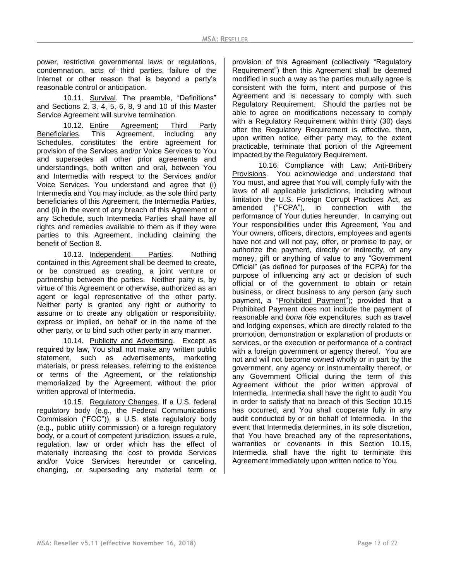power, restrictive governmental laws or regulations, condemnation, acts of third parties, failure of the Internet or other reason that is beyond a party's reasonable control or anticipation.

10.11. Survival. The preamble, "Definitions" and Sections 2, 3, 4, 5, 6, 8, 9 and 10 of this Master Service Agreement will survive termination.

10.12. Entire Agreement; Third Party Beneficiaries. This Agreement, including any Schedules, constitutes the entire agreement for provision of the Services and/or Voice Services to You and supersedes all other prior agreements and understandings, both written and oral, between You and Intermedia with respect to the Services and/or Voice Services. You understand and agree that (i) Intermedia and You may include, as the sole third party beneficiaries of this Agreement, the Intermedia Parties, and (ii) in the event of any breach of this Agreement or any Schedule, such Intermedia Parties shall have all rights and remedies available to them as if they were parties to this Agreement, including claiming the benefit of Section 8.

10.13. Independent Parties. Nothing contained in this Agreement shall be deemed to create, or be construed as creating, a joint venture or partnership between the parties. Neither party is, by virtue of this Agreement or otherwise, authorized as an agent or legal representative of the other party. Neither party is granted any right or authority to assume or to create any obligation or responsibility, express or implied, on behalf or in the name of the other party, or to bind such other party in any manner.

10.14. Publicity and Advertising. Except as required by law, You shall not make any written public statement, such as advertisements, marketing materials, or press releases, referring to the existence or terms of the Agreement, or the relationship memorialized by the Agreement, without the prior written approval of Intermedia.

10.15. Regulatory Changes. If a U.S. federal regulatory body (e.g., the Federal Communications Commission ("FCC")), a U.S. state regulatory body (e.g., public utility commission) or a foreign regulatory body, or a court of competent jurisdiction, issues a rule, regulation, law or order which has the effect of materially increasing the cost to provide Services and/or Voice Services hereunder or canceling, changing, or superseding any material term or

provision of this Agreement (collectively "Regulatory Requirement") then this Agreement shall be deemed modified in such a way as the parties mutually agree is consistent with the form, intent and purpose of this Agreement and is necessary to comply with such Regulatory Requirement. Should the parties not be able to agree on modifications necessary to comply with a Regulatory Requirement within thirty (30) days after the Regulatory Requirement is effective, then, upon written notice, either party may, to the extent practicable, terminate that portion of the Agreement impacted by the Regulatory Requirement.

10.16. Compliance with Law; Anti-Bribery Provisions.You acknowledge and understand that You must, and agree that You will, comply fully with the laws of all applicable jurisdictions, including without limitation the U.S. Foreign Corrupt Practices Act, as amended ("FCPA"), in connection with the performance of Your duties hereunder. In carrying out Your responsibilities under this Agreement, You and Your owners, officers, directors, employees and agents have not and will not pay, offer, or promise to pay, or authorize the payment, directly or indirectly, of any money, gift or anything of value to any "Government Official" (as defined for purposes of the FCPA) for the purpose of influencing any act or decision of such official or of the government to obtain or retain business, or direct business to any person (any such payment, a "Prohibited Payment"); provided that a Prohibited Payment does not include the payment of reasonable and *bona fide* expenditures, such as travel and lodging expenses, which are directly related to the promotion, demonstration or explanation of products or services, or the execution or performance of a contract with a foreign government or agency thereof. You are not and will not become owned wholly or in part by the government, any agency or instrumentality thereof, or any Government Official during the term of this Agreement without the prior written approval of Intermedia. Intermedia shall have the right to audit You in order to satisfy that no breach of this Section 10.15 has occurred, and You shall cooperate fully in any audit conducted by or on behalf of Intermedia. In the event that Intermedia determines, in its sole discretion, that You have breached any of the representations, warranties or covenants in this Section 10.15, Intermedia shall have the right to terminate this Agreement immediately upon written notice to You.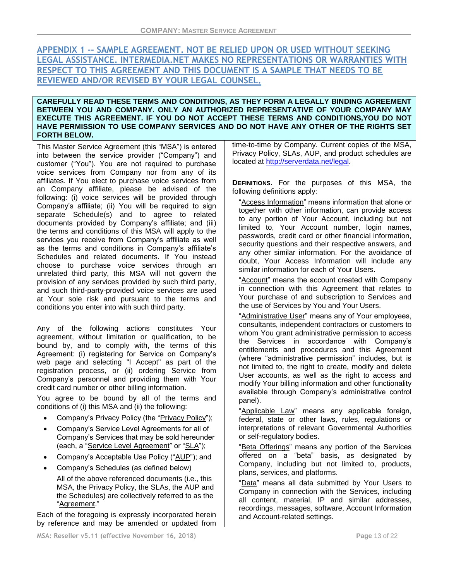# **APPENDIX 1 -- SAMPLE AGREEMENT. NOT BE RELIED UPON OR USED WITHOUT SEEKING LEGAL ASSISTANCE. INTERMEDIA.NET MAKES NO REPRESENTATIONS OR WARRANTIES WITH RESPECT TO THIS AGREEMENT AND THIS DOCUMENT IS A SAMPLE THAT NEEDS TO BE REVIEWED AND/OR REVISED BY YOUR LEGAL COUNSEL.**

### **CAREFULLY READ THESE TERMS AND CONDITIONS, AS THEY FORM A LEGALLY BINDING AGREEMENT BETWEEN YOU AND COMPANY. ONLY AN AUTHORIZED REPRESENTATIVE OF YOUR COMPANY MAY EXECUTE THIS AGREEMENT. IF YOU DO NOT ACCEPT THESE TERMS AND CONDITIONS,YOU DO NOT HAVE PERMISSION TO USE COMPANY SERVICES AND DO NOT HAVE ANY OTHER OF THE RIGHTS SET FORTH BELOW.**

This Master Service Agreement (this "MSA") is entered into between the service provider ("Company") and customer ("You"). You are not required to purchase voice services from Company nor from any of its affiliates. If You elect to purchase voice services from an Company affiliate, please be advised of the following: (i) voice services will be provided through Company's affiliate; (ii) You will be required to sign separate Schedule(s) and to agree to related documents provided by Company's affiliate; and (iii) the terms and conditions of this MSA will apply to the services you receive from Company's affiliate as well as the terms and conditions in Company's affiliate's Schedules and related documents. If You instead choose to purchase voice services through an unrelated third party, this MSA will not govern the provision of any services provided by such third party, and such third-party-provided voice services are used at Your sole risk and pursuant to the terms and conditions you enter into with such third party.

Any of the following actions constitutes Your agreement, without limitation or qualification, to be bound by, and to comply with, the terms of this Agreement: (i) registering for Service on Company's web page and selecting "I Accept" as part of the registration process, or (ii) ordering Service from Company's personnel and providing them with Your credit card number or other billing information.

You agree to be bound by all of the terms and conditions of (i) this MSA and (ii) the following:

- Company's Privacy Policy (the "Privacy Policy");
- Company's Service Level Agreements for all of Company's Services that may be sold hereunder (each, a "Service Level Agreement" or "SLA");
- Company's Acceptable Use Policy ("AUP"); and
- Company's Schedules (as defined below) All of the above referenced documents (i.e., this MSA, the Privacy Policy, the SLAs, the AUP and the Schedules) are collectively referred to as the "Agreement."

Each of the foregoing is expressly incorporated herein by reference and may be amended or updated from

time-to-time by Company. Current copies of the MSA, Privacy Policy, SLAs, AUP, and product schedules are located at [http://serverdata.net/legal.](http://serverdata.net/legal)

**DEFINITIONS.** For the purposes of this MSA, the following definitions apply:

"Access Information" means information that alone or together with other information, can provide access to any portion of Your Account, including but not limited to, Your Account number, login names, passwords, credit card or other financial information, security questions and their respective answers, and any other similar information. For the avoidance of doubt, Your Access Information will include any similar information for each of Your Users.

"Account" means the account created with Company in connection with this Agreement that relates to Your purchase of and subscription to Services and the use of Services by You and Your Users.

"Administrative User" means any of Your employees, consultants, independent contractors or customers to whom You grant administrative permission to access the Services in accordance with Company's entitlements and procedures and this Agreement (where "administrative permission" includes, but is not limited to, the right to create, modify and delete User accounts, as well as the right to access and modify Your billing information and other functionality available through Company's administrative control panel).

"Applicable Law" means any applicable foreign, federal, state or other laws, rules, regulations or interpretations of relevant Governmental Authorities or self-regulatory bodies.

"Beta Offerings" means any portion of the Services offered on a "beta" basis, as designated by Company, including but not limited to, products, plans, services, and platforms.

"Data" means all data submitted by Your Users to Company in connection with the Services, including all content, material, IP and similar addresses, recordings, messages, software, Account Information and Account-related settings.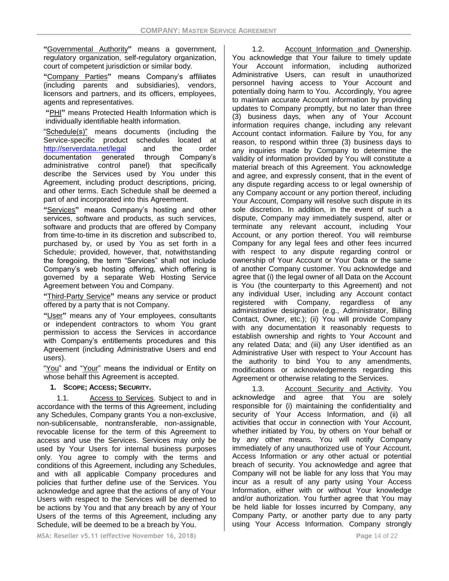**"**Governmental Authority**"** means a government, regulatory organization, self-regulatory organization, court of competent jurisdiction or similar body.

**"**Company Parties**"** means Company's affiliates (including parents and subsidiaries), vendors, licensors and partners, and its officers, employees, agents and representatives.

**"**PHI**"** means Protected Health Information which is individually identifiable health information.

"Schedule(s)" means documents (including the Service-specific product schedules located at <http://serverdata.net/legal> and the order documentation generated through Company's administrative control panel) that specifically describe the Services used by You under this Agreement, including product descriptions, pricing, and other terms. Each Schedule shall be deemed a part of and incorporated into this Agreement.

**"**Services**"** means Company's hosting and other services, software and products, as such services, software and products that are offered by Company from time-to-time in its discretion and subscribed to, purchased by, or used by You as set forth in a Schedule; provided, however, that, notwithstanding the foregoing, the term "Services" shall not include Company's web hosting offering, which offering is governed by a separate Web Hosting Service Agreement between You and Company.

**"**Third-Party Service**"** means any service or product offered by a party that is not Company.

**"**User**"** means any of Your employees, consultants or independent contractors to whom You grant permission to access the Services in accordance with Company's entitlements procedures and this Agreement (including Administrative Users and end users).

"You" and "Your" means the individual or Entity on whose behalf this Agreement is accepted.

### **1. SCOPE; ACCESS; SECURITY.**

1.1. Access to Services. Subject to and in accordance with the terms of this Agreement, including any Schedules, Company grants You a non-exclusive, non-sublicensable, nontransferable, non-assignable, revocable license for the term of this Agreement to access and use the Services. Services may only be used by Your Users for internal business purposes only. You agree to comply with the terms and conditions of this Agreement, including any Schedules, and with all applicable Company procedures and policies that further define use of the Services. You acknowledge and agree that the actions of any of Your Users with respect to the Services will be deemed to be actions by You and that any breach by any of Your Users of the terms of this Agreement, including any Schedule, will be deemed to be a breach by You.

1.2. Account Information and Ownership. You acknowledge that Your failure to timely update Your Account information, including authorized Administrative Users, can result in unauthorized personnel having access to Your Account and potentially doing harm to You. Accordingly, You agree to maintain accurate Account information by providing updates to Company promptly, but no later than three (3) business days, when any of Your Account information requires change, including any relevant Account contact information. Failure by You, for any reason, to respond within three (3) business days to any inquiries made by Company to determine the validity of information provided by You will constitute a material breach of this Agreement. You acknowledge and agree, and expressly consent, that in the event of any dispute regarding access to or legal ownership of any Company account or any portion thereof, including Your Account, Company will resolve such dispute in its sole discretion. In addition, in the event of such a dispute, Company may immediately suspend, alter or terminate any relevant account, including Your Account, or any portion thereof. You will reimburse Company for any legal fees and other fees incurred with respect to any dispute regarding control or ownership of Your Account or Your Data or the same of another Company customer. You acknowledge and agree that (i) the legal owner of all Data on the Account is You (the counterparty to this Agreement) and not any individual User, including any Account contact registered with Company, regardless of any administrative designation (e.g., Administrator, Billing Contact, Owner, etc.); (ii) You will provide Company with any documentation it reasonably requests to establish ownership and rights to Your Account and any related Data; and (iii) any User identified as an Administrative User with respect to Your Account has the authority to bind You to any amendments, modifications or acknowledgements regarding this

1.3. Account Security and Activity. You acknowledge and agree that You are solely responsible for (i) maintaining the confidentiality and security of Your Access Information, and (ii) all activities that occur in connection with Your Account, whether initiated by You, by others on Your behalf or by any other means. You will notify Company immediately of any unauthorized use of Your Account, Access Information or any other actual or potential breach of security. You acknowledge and agree that Company will not be liable for any loss that You may incur as a result of any party using Your Access Information, either with or without Your knowledge and/or authorization. You further agree that You may be held liable for losses incurred by Company, any Company Party, or another party due to any party using Your Access Information. Company strongly

Agreement or otherwise relating to the Services.

**MSA: Reseller v5.11 (effective November 16, 2018) Page** 14 of 22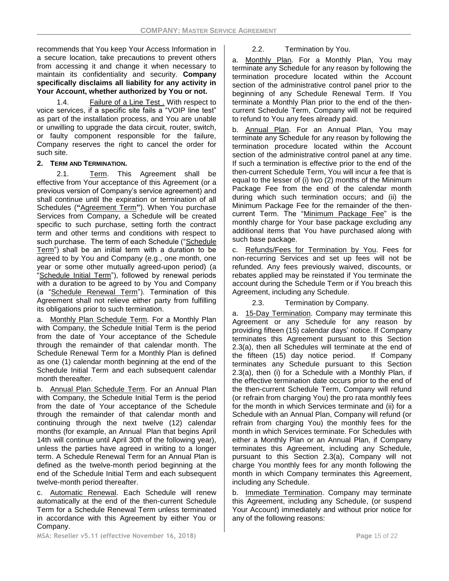recommends that You keep Your Access Information in a secure location, take precautions to prevent others from accessing it and change it when necessary to maintain its confidentiality and security. **Company specifically disclaims all liability for any activity in Your Account, whether authorized by You or not.**

1.4. Failure of a Line Test . With respect to voice services, if a specific site fails a "VOIP line test" as part of the installation process, and You are unable or unwilling to upgrade the data circuit, router, switch, or faulty component responsible for the failure, Company reserves the right to cancel the order for such site.

## **2. TERM AND TERMINATION.**

2.1. Term. This Agreement shall be effective from Your acceptance of this Agreement (or a previous version of Company's service agreement) and shall continue until the expiration or termination of all Schedules (**"**Agreement Term**"**). When You purchase Services from Company, a Schedule will be created specific to such purchase, setting forth the contract term and other terms and conditions with respect to such purchase. The term of each Schedule ("Schedule Term") shall be an initial term with a duration to be agreed to by You and Company (e.g., one month, one year or some other mutually agreed-upon period) (a "Schedule Initial Term"), followed by renewal periods with a duration to be agreed to by You and Company (a "Schedule Renewal Term"). Termination of this Agreement shall not relieve either party from fulfilling its obligations prior to such termination.

a. Monthly Plan Schedule Term*.* For a Monthly Plan with Company, the Schedule Initial Term is the period from the date of Your acceptance of the Schedule through the remainder of that calendar month. The Schedule Renewal Term for a Monthly Plan is defined as one (1) calendar month beginning at the end of the Schedule Initial Term and each subsequent calendar month thereafter.

b. Annual Plan Schedule Term. For an Annual Plan with Company, the Schedule Initial Term is the period from the date of Your acceptance of the Schedule through the remainder of that calendar month and continuing through the next twelve (12) calendar months (for example, an Annual Plan that begins April 14th will continue until April 30th of the following year), unless the parties have agreed in writing to a longer term. A Schedule Renewal Term for an Annual Plan is defined as the twelve-month period beginning at the end of the Schedule Initial Term and each subsequent twelve-month period thereafter.

c. Automatic Renewal. Each Schedule will renew automatically at the end of the then-current Schedule Term for a Schedule Renewal Term unless terminated in accordance with this Agreement by either You or Company.

# 2.2. Termination by You.

a. Monthly Plan. For a Monthly Plan, You may terminate any Schedule for any reason by following the termination procedure located within the Account section of the administrative control panel prior to the beginning of any Schedule Renewal Term. If You terminate a Monthly Plan prior to the end of the thencurrent Schedule Term, Company will not be required to refund to You any fees already paid.

b. Annual Plan. For an Annual Plan, You may terminate any Schedule for any reason by following the termination procedure located within the Account section of the administrative control panel at any time. If such a termination is effective prior to the end of the then-current Schedule Term, You will incur a fee that is equal to the lesser of (i) two (2) months of the Minimum Package Fee from the end of the calendar month during which such termination occurs; and (ii) the Minimum Package Fee for the remainder of the thencurrent Term. The "Minimum Package Fee" is the monthly charge for Your base package excluding any additional items that You have purchased along with such base package.

c. Refunds/Fees for Termination by You. Fees for non-recurring Services and set up fees will not be refunded. Any fees previously waived, discounts, or rebates applied may be reinstated if You terminate the account during the Schedule Term or if You breach this Agreement, including any Schedule.

2.3. Termination by Company.

a. 15-Day Termination. Company may terminate this Agreement or any Schedule for any reason by providing fifteen (15) calendar days' notice. If Company terminates this Agreement pursuant to this Section 2.3(a), then all Schedules will terminate at the end of the fifteen (15) day notice period. If Company terminates any Schedule pursuant to this Section 2.3(a), then (i) for a Schedule with a Monthly Plan, if the effective termination date occurs prior to the end of the then-current Schedule Term, Company will refund (or refrain from charging You) the pro rata monthly fees for the month in which Services terminate and (ii) for a Schedule with an Annual Plan, Company will refund (or refrain from charging You) the monthly fees for the month in which Services terminate. For Schedules with either a Monthly Plan or an Annual Plan, if Company terminates this Agreement, including any Schedule, pursuant to this Section 2.3(a), Company will not charge You monthly fees for any month following the month in which Company terminates this Agreement, including any Schedule.

b. Immediate Termination. Company may terminate this Agreement, including any Schedule, (or suspend Your Account) immediately and without prior notice for any of the following reasons:

**MSA: Reseller v5.11 (effective November 16, 2018) Page** 15 of 22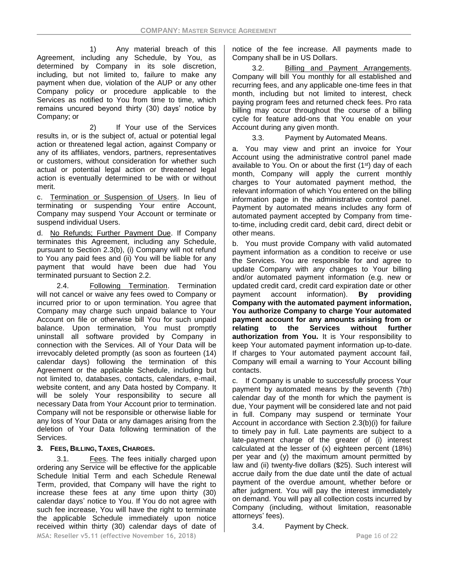1) Any material breach of this Agreement, including any Schedule, by You, as determined by Company in its sole discretion, including, but not limited to, failure to make any payment when due, violation of the AUP or any other Company policy or procedure applicable to the Services as notified to You from time to time, which remains uncured beyond thirty (30) days' notice by Company; or

2) If Your use of the Services results in, or is the subject of, actual or potential legal action or threatened legal action, against Company or any of its affiliates, vendors, partners, representatives or customers, without consideration for whether such actual or potential legal action or threatened legal action is eventually determined to be with or without merit.

c. Termination or Suspension of Users. In lieu of terminating or suspending Your entire Account, Company may suspend Your Account or terminate or suspend individual Users.

d. No Refunds; Further Payment Due. If Company terminates this Agreement, including any Schedule, pursuant to Section 2.3(b), (i) Company will not refund to You any paid fees and (ii) You will be liable for any payment that would have been due had You terminated pursuant to Section 2.2.

2.4. Following Termination. Termination will not cancel or waive any fees owed to Company or incurred prior to or upon termination. You agree that Company may charge such unpaid balance to Your Account on file or otherwise bill You for such unpaid balance. Upon termination, You must promptly uninstall all software provided by Company in connection with the Services. All of Your Data will be irrevocably deleted promptly (as soon as fourteen (14) calendar days) following the termination of this Agreement or the applicable Schedule, including but not limited to, databases, contacts, calendars, e-mail, website content, and any Data hosted by Company. It will be solely Your responsibility to secure all necessary Data from Your Account prior to termination. Company will not be responsible or otherwise liable for any loss of Your Data or any damages arising from the deletion of Your Data following termination of the Services.

# **3. FEES, BILLING, TAXES, CHARGES.**

**MSA: Reseller v5.11 (effective November 16, 2018) Page** 16 of 22 3.1. Fees. The fees initially charged upon ordering any Service will be effective for the applicable Schedule Initial Term and each Schedule Renewal Term, provided, that Company will have the right to increase these fees at any time upon thirty (30) calendar days' notice to You. If You do not agree with such fee increase, You will have the right to terminate the applicable Schedule immediately upon notice received within thirty (30) calendar days of date of

notice of the fee increase. All payments made to Company shall be in US Dollars.

3.2. Billing and Payment Arrangements. Company will bill You monthly for all established and recurring fees, and any applicable one-time fees in that month, including but not limited to interest, check paying program fees and returned check fees. Pro rata billing may occur throughout the course of a billing cycle for feature add-ons that You enable on your Account during any given month.

3.3. Payment by Automated Means.

a. You may view and print an invoice for Your Account using the administrative control panel made available to You. On or about the first  $(1<sup>st</sup>)$  day of each month, Company will apply the current monthly charges to Your automated payment method, the relevant information of which You entered on the billing information page in the administrative control panel. Payment by automated means includes any form of automated payment accepted by Company from timeto-time, including credit card, debit card, direct debit or other means.

b. You must provide Company with valid automated payment information as a condition to receive or use the Services. You are responsible for and agree to update Company with any changes to Your billing and/or automated payment information (e.g. new or updated credit card, credit card expiration date or other payment account information). **By providing Company with the automated payment information, You authorize Company to charge Your automated payment account for any amounts arising from or relating to the Services without further authorization from You.** It is Your responsibility to keep Your automated payment information up-to-date. If charges to Your automated payment account fail, Company will email a warning to Your Account billing contacts.

c. If Company is unable to successfully process Your payment by automated means by the seventh (7th) calendar day of the month for which the payment is due, Your payment will be considered late and not paid in full. Company may suspend or terminate Your Account in accordance with Section 2.3(b)(i) for failure to timely pay in full. Late payments are subject to a late-payment charge of the greater of (i) interest calculated at the lesser of (x) eighteen percent (18%) per year and (y) the maximum amount permitted by law and (ii) twenty-five dollars (\$25). Such interest will accrue daily from the due date until the date of actual payment of the overdue amount, whether before or after judgment. You will pay the interest immediately on demand. You will pay all collection costs incurred by Company (including, without limitation, reasonable attorneys' fees).

3.4. Payment by Check.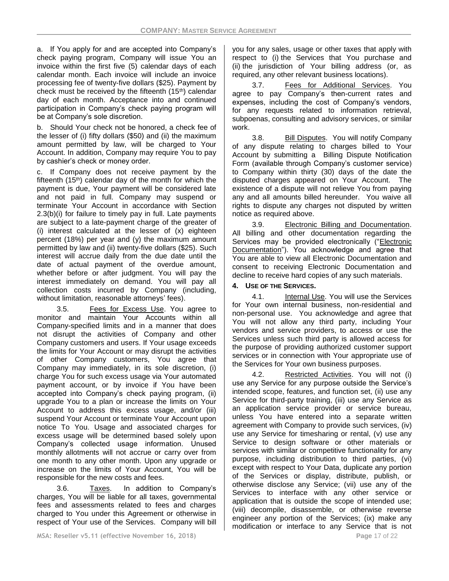a. If You apply for and are accepted into Company's check paying program, Company will issue You an invoice within the first five (5) calendar days of each calendar month. Each invoice will include an invoice processing fee of twenty-five dollars (\$25). Payment by check must be received by the fifteenth (15th) calendar day of each month. Acceptance into and continued participation in Company's check paying program will be at Company's sole discretion.

b. Should Your check not be honored, a check fee of the lesser of (i) fifty dollars (\$50) and (ii) the maximum amount permitted by law, will be charged to Your Account. In addition, Company may require You to pay by cashier's check or money order.

c. If Company does not receive payment by the fifteenth  $(15<sup>th</sup>)$  calendar day of the month for which the payment is due, Your payment will be considered late and not paid in full. Company may suspend or terminate Your Account in accordance with Section 2.3(b)(i) for failure to timely pay in full. Late payments are subject to a late-payment charge of the greater of (i) interest calculated at the lesser of (x) eighteen percent (18%) per year and (y) the maximum amount permitted by law and (ii) twenty-five dollars (\$25). Such interest will accrue daily from the due date until the date of actual payment of the overdue amount, whether before or after judgment. You will pay the interest immediately on demand. You will pay all collection costs incurred by Company (including, without limitation, reasonable attorneys' fees).

3.5. Fees for Excess Use. You agree to monitor and maintain Your Accounts within all Company-specified limits and in a manner that does not disrupt the activities of Company and other Company customers and users. If Your usage exceeds the limits for Your Account or may disrupt the activities of other Company customers, You agree that Company may immediately, in its sole discretion, (i) charge You for such excess usage via Your automated payment account, or by invoice if You have been accepted into Company's check paying program, (ii) upgrade You to a plan or increase the limits on Your Account to address this excess usage, and/or (iii) suspend Your Account or terminate Your Account upon notice To You. Usage and associated charges for excess usage will be determined based solely upon Company's collected usage information. Unused monthly allotments will not accrue or carry over from one month to any other month. Upon any upgrade or increase on the limits of Your Account, You will be responsible for the new costs and fees.

3.6. Taxes. In addition to Company's charges, You will be liable for all taxes, governmental fees and assessments related to fees and charges charged to You under this Agreement or otherwise in respect of Your use of the Services. Company will bill you for any sales, usage or other taxes that apply with respect to (i) the Services that You purchase and (ii) the jurisdiction of Your billing address (or, as required, any other relevant business locations).

3.7. Fees for Additional Services. You agree to pay Company's then-current rates and expenses, including the cost of Company's vendors, for any requests related to information retrieval, subpoenas, consulting and advisory services, or similar work.

3.8. Bill Disputes. You will notify Company of any dispute relating to charges billed to Your Account by submitting a Billing Dispute Notification Form (available through Company's customer service) to Company within thirty (30) days of the date the disputed charges appeared on Your Account. The existence of a dispute will not relieve You from paying any and all amounts billed hereunder. You waive all rights to dispute any charges not disputed by written notice as required above.

3.9. Electronic Billing and Documentation. All billing and other documentation regarding the Services may be provided electronically ("Electronic Documentation"). You acknowledge and agree that You are able to view all Electronic Documentation and consent to receiving Electronic Documentation and decline to receive hard copies of any such materials.

# **4. USE OF THE SERVICES.**

4.1. Internal Use. You will use the Services for Your own internal business, non-residential and non-personal use. You acknowledge and agree that You will not allow any third party, including Your vendors and service providers, to access or use the Services unless such third party is allowed access for the purpose of providing authorized customer support services or in connection with Your appropriate use of the Services for Your own business purposes.

4.2. Restricted Activities. You will not (i) use any Service for any purpose outside the Service's intended scope, features, and function set, (ii) use any Service for third-party training, (iii) use any Service as an application service provider or service bureau, unless You have entered into a separate written agreement with Company to provide such services, (iv) use any Service for timesharing or rental, (v) use any Service to design software or other materials or services with similar or competitive functionality for any purpose, including distribution to third parties, (vi) except with respect to Your Data, duplicate any portion of the Services or display, distribute, publish, or otherwise disclose any Service; (vii) use any of the Services to interface with any other service or application that is outside the scope of intended use; (viii) decompile, disassemble, or otherwise reverse engineer any portion of the Services; (ix) make any modification or interface to any Service that is not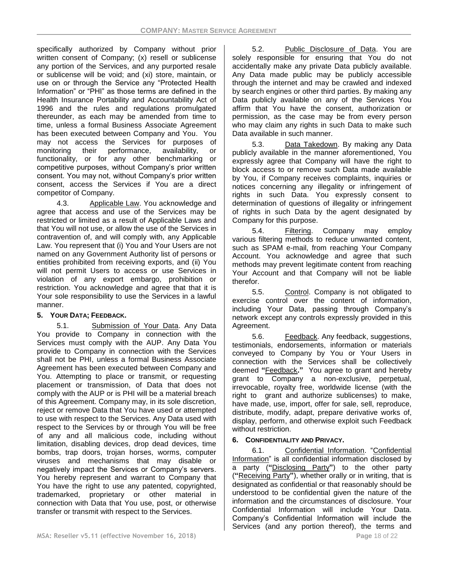specifically authorized by Company without prior written consent of Company; (x) resell or sublicense any portion of the Services, and any purported resale or sublicense will be void; and (xi) store, maintain, or use on or through the Service any "Protected Health Information" or "PHI" as those terms are defined in the Health Insurance Portability and Accountability Act of 1996 and the rules and regulations promulgated thereunder, as each may be amended from time to time, unless a formal Business Associate Agreement has been executed between Company and You. You may not access the Services for purposes of monitoring their performance, availability, or functionality, or for any other benchmarking or competitive purposes, without Company's prior written consent. You may not, without Company's prior written consent, access the Services if You are a direct competitor of Company.

4.3. Applicable Law. You acknowledge and agree that access and use of the Services may be restricted or limited as a result of Applicable Laws and that You will not use, or allow the use of the Services in contravention of, and will comply with, any Applicable Law. You represent that (i) You and Your Users are not named on any Government Authority list of persons or entities prohibited from receiving exports, and (ii) You will not permit Users to access or use Services in violation of any export embargo, prohibition or restriction. You acknowledge and agree that that it is Your sole responsibility to use the Services in a lawful manner.

# **5. YOUR DATA; FEEDBACK.**

5.1. Submission of Your Data. Any Data You provide to Company in connection with the Services must comply with the AUP. Any Data You provide to Company in connection with the Services shall not be PHI, unless a formal Business Associate Agreement has been executed between Company and You. Attempting to place or transmit, or requesting placement or transmission, of Data that does not comply with the AUP or is PHI will be a material breach of this Agreement. Company may, in its sole discretion, reject or remove Data that You have used or attempted to use with respect to the Services. Any Data used with respect to the Services by or through You will be free of any and all malicious code, including without limitation, disabling devices, drop dead devices, time bombs, trap doors, trojan horses, worms, computer viruses and mechanisms that may disable or negatively impact the Services or Company's servers. You hereby represent and warrant to Company that You have the right to use any patented, copyrighted, trademarked, proprietary or other material in connection with Data that You use, post, or otherwise transfer or transmit with respect to the Services.

5.2. Public Disclosure of Data. You are solely responsible for ensuring that You do not accidentally make any private Data publicly available. Any Data made public may be publicly accessible through the internet and may be crawled and indexed by search engines or other third parties. By making any Data publicly available on any of the Services You affirm that You have the consent, authorization or permission, as the case may be from every person who may claim any rights in such Data to make such Data available in such manner.

5.3. Data Takedown. By making any Data publicly available in the manner aforementioned, You expressly agree that Company will have the right to block access to or remove such Data made available by You, if Company receives complaints, inquiries or notices concerning any illegality or infringement of rights in such Data. You expressly consent to determination of questions of illegality or infringement of rights in such Data by the agent designated by Company for this purpose.

5.4. Filtering. Company may employ various filtering methods to reduce unwanted content, such as SPAM e-mail, from reaching Your Company Account. You acknowledge and agree that such methods may prevent legitimate content from reaching Your Account and that Company will not be liable therefor.

5.5. Control. Company is not obligated to exercise control over the content of information, including Your Data, passing through Company's network except any controls expressly provided in this Agreement.

5.6. Feedback. Any feedback, suggestions, testimonials, endorsements, information or materials conveyed to Company by You or Your Users in connection with the Services shall be collectively deemed **"**Feedback**."** You agree to grant and hereby grant to Company a non-exclusive, perpetual, irrevocable, royalty free, worldwide license (with the right to grant and authorize sublicenses) to make, have made, use, import, offer for sale, sell, reproduce, distribute, modify, adapt, prepare derivative works of, display, perform, and otherwise exploit such Feedback without restriction.

# **6. CONFIDENTIALITY AND PRIVACY.**

6.1. Confidential Information. "Confidential Information" is all confidential information disclosed by a party (**"**Disclosing Party**"**) to the other party (**"**Receiving Party**"**), whether orally or in writing, that is designated as confidential or that reasonably should be understood to be confidential given the nature of the information and the circumstances of disclosure. Your Confidential Information will include Your Data. Company's Confidential Information will include the Services (and any portion thereof), the terms and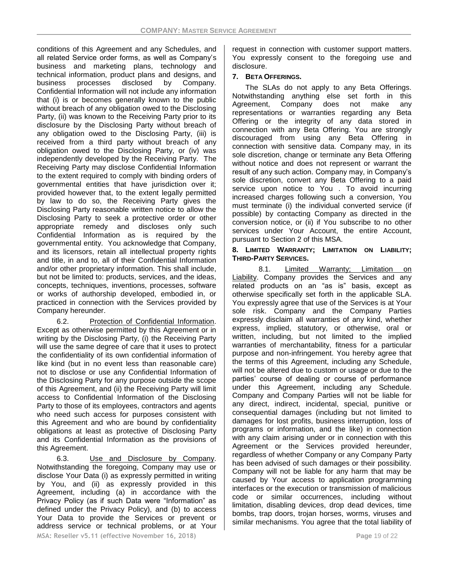conditions of this Agreement and any Schedules, and all related Service order forms, as well as Company's business and marketing plans, technology and technical information, product plans and designs, and business processes disclosed by Company. Confidential Information will not include any information that (i) is or becomes generally known to the public without breach of any obligation owed to the Disclosing Party, (ii) was known to the Receiving Party prior to its disclosure by the Disclosing Party without breach of any obligation owed to the Disclosing Party, (iii) is received from a third party without breach of any obligation owed to the Disclosing Party, or (iv) was independently developed by the Receiving Party. The Receiving Party may disclose Confidential Information to the extent required to comply with binding orders of governmental entities that have jurisdiction over it; provided however that, to the extent legally permitted by law to do so, the Receiving Party gives the Disclosing Party reasonable written notice to allow the Disclosing Party to seek a protective order or other appropriate remedy and discloses only such Confidential Information as is required by the governmental entity. You acknowledge that Company, and its licensors, retain all intellectual property rights and title, in and to, all of their Confidential Information and/or other proprietary information. This shall include, but not be limited to: products, services, and the ideas, concepts, techniques, inventions, processes, software or works of authorship developed, embodied in, or practiced in connection with the Services provided by Company hereunder.

6.2. Protection of Confidential Information. Except as otherwise permitted by this Agreement or in writing by the Disclosing Party, (i) the Receiving Party will use the same degree of care that it uses to protect the confidentiality of its own confidential information of like kind (but in no event less than reasonable care) not to disclose or use any Confidential Information of the Disclosing Party for any purpose outside the scope of this Agreement, and (ii) the Receiving Party will limit access to Confidential Information of the Disclosing Party to those of its employees, contractors and agents who need such access for purposes consistent with this Agreement and who are bound by confidentiality obligations at least as protective of Disclosing Party and its Confidential Information as the provisions of this Agreement.

**MSA: Reseller v5.11 (effective November 16, 2018) Page** 19 of 22 6.3. Use and Disclosure by Company. Notwithstanding the foregoing, Company may use or disclose Your Data (i) as expressly permitted in writing by You, and (ii) as expressly provided in this Agreement, including (a) in accordance with the Privacy Policy (as if such Data were "Information" as defined under the Privacy Policy), and (b) to access Your Data to provide the Services or prevent or address service or technical problems, or at Your

request in connection with customer support matters. You expressly consent to the foregoing use and disclosure.

### **7. BETA OFFERINGS.**

The SLAs do not apply to any Beta Offerings. Notwithstanding anything else set forth in this Agreement, Company does not make any representations or warranties regarding any Beta Offering or the integrity of any data stored in connection with any Beta Offering. You are strongly discouraged from using any Beta Offering in connection with sensitive data. Company may, in its sole discretion, change or terminate any Beta Offering without notice and does not represent or warrant the result of any such action. Company may, in Company's sole discretion, convert any Beta Offering to a paid service upon notice to You . To avoid incurring increased charges following such a conversion, You must terminate (i) the individual converted service (if possible) by contacting Company as directed in the conversion notice, or (ii) if You subscribe to no other services under Your Account, the entire Account, pursuant to Section 2 of this MSA.

#### **8. LIMITED WARRANTY; LIMITATION ON LIABILITY; THIRD-PARTY SERVICES.**

8.1. Limited Warranty; Limitation on Liability. Company provides the Services and any related products on an "as is" basis, except as otherwise specifically set forth in the applicable SLA. You expressly agree that use of the Services is at Your sole risk. Company and the Company Parties expressly disclaim all warranties of any kind, whether express, implied, statutory, or otherwise, oral or written, including, but not limited to the implied warranties of merchantability, fitness for a particular purpose and non-infringement. You hereby agree that the terms of this Agreement, including any Schedule, will not be altered due to custom or usage or due to the parties' course of dealing or course of performance under this Agreement, including any Schedule. Company and Company Parties will not be liable for any direct, indirect, incidental, special, punitive or consequential damages (including but not limited to damages for lost profits, business interruption, loss of programs or information, and the like) in connection with any claim arising under or in connection with this Agreement or the Services provided hereunder, regardless of whether Company or any Company Party has been advised of such damages or their possibility. Company will not be liable for any harm that may be caused by Your access to application programming interfaces or the execution or transmission of malicious code or similar occurrences, including without limitation, disabling devices, drop dead devices, time bombs, trap doors, trojan horses, worms, viruses and similar mechanisms. You agree that the total liability of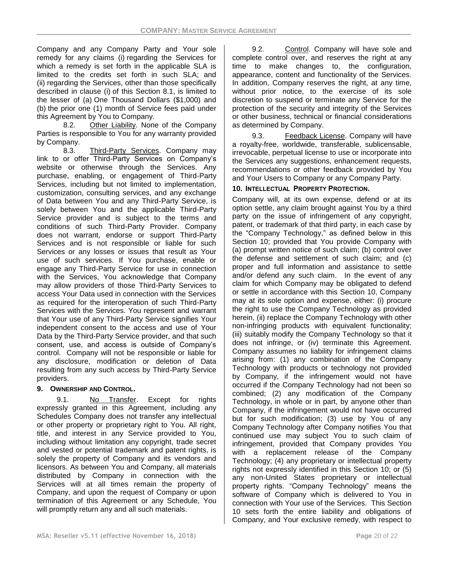Company and any Company Party and Your sole remedy for any claims (i) regarding the Services for which a remedy is set forth in the applicable SLA is limited to the credits set forth in such SLA; and (ii) regarding the Services, other than those specifically described in clause (i) of this Section 8.1, is limited to the lesser of (a) One Thousand Dollars (\$1,000) and (b) the prior one (1) month of Service fees paid under this Agreement by You to Company.

8.2. Other Liability. None of the Company Parties is responsible to You for any warranty provided by Company.

8.3. Third-Party Services. Company may link to or offer Third-Party Services on Company's website or otherwise through the Services. Any purchase, enabling, or engagement of Third-Party Services, including but not limited to implementation, customization, consulting services, and any exchange of Data between You and any Third-Party Service, is solely between You and the applicable Third-Party Service provider and is subject to the terms and conditions of such Third-Party Provider. Company does not warrant, endorse or support Third-Party Services and is not responsible or liable for such Services or any losses or issues that result as Your use of such services. If You purchase, enable or engage any Third-Party Service for use in connection with the Services, You acknowledge that Company may allow providers of those Third-Party Services to access Your Data used in connection with the Services as required for the interoperation of such Third-Party Services with the Services. You represent and warrant that Your use of any Third-Party Service signifies Your independent consent to the access and use of Your Data by the Third-Party Service provider, and that such consent, use, and access is outside of Company's control. Company will not be responsible or liable for any disclosure, modification or deletion of Data resulting from any such access by Third-Party Service providers.

## **9. OWNERSHIP AND CONTROL.**

9.1. No Transfer. Except for rights expressly granted in this Agreement, including any Schedules Company does not transfer any intellectual or other property or proprietary right to You. All right, title, and interest in any Service provided to You, including without limitation any copyright, trade secret and vested or potential trademark and patent rights, is solely the property of Company and its vendors and licensors. As between You and Company, all materials distributed by Company in connection with the Services will at all times remain the property of Company, and upon the request of Company or upon termination of this Agreement or any Schedule, You will promptly return any and all such materials.

9.2. Control. Company will have sole and complete control over, and reserves the right at any time to make changes to, the configuration, appearance, content and functionality of the Services. In addition, Company reserves the right, at any time, without prior notice, to the exercise of its sole discretion to suspend or terminate any Service for the protection of the security and integrity of the Services or other business, technical or financial considerations as determined by Company.

9.3. Feedback License. Company will have a royalty-free, worldwide, transferable, sublicensable, irrevocable, perpetual license to use or incorporate into the Services any suggestions, enhancement requests, recommendations or other feedback provided by You and Your Users to Company or any Company Party.

## **10. INTELLECTUAL PROPERTY PROTECTION.**

Company will, at its own expense, defend or at its option settle, any claim brought against You by a third party on the issue of infringement of any copyright, patent, or trademark of that third party, in each case by the "Company Technology," as defined below in this Section 10; provided that You provide Company with (a) prompt written notice of such claim; (b) control over the defense and settlement of such claim; and (c) proper and full information and assistance to settle and/or defend any such claim. In the event of any claim for which Company may be obligated to defend or settle in accordance with this Section 10, Company may at its sole option and expense, either: (i) procure the right to use the Company Technology as provided herein, (ii) replace the Company Technology with other non-infringing products with equivalent functionality; (iii) suitably modify the Company Technology so that it does not infringe, or (iv) terminate this Agreement. Company assumes no liability for infringement claims arising from: (1) any combination of the Company Technology with products or technology not provided by Company, if the infringement would not have occurred if the Company Technology had not been so combined; (2) any modification of the Company Technology, in whole or in part, by anyone other than Company, if the infringement would not have occurred but for such modification; (3) use by You of any Company Technology after Company notifies You that continued use may subject You to such claim of infringement, provided that Company provides You with a replacement release of the Company Technology; (4) any proprietary or intellectual property rights not expressly identified in this Section 10; or (5) any non-United States proprietary or intellectual property rights. "Company Technology" means the software of Company which is delivered to You in connection with Your use of the Services. This Section 10 sets forth the entire liability and obligations of Company, and Your exclusive remedy, with respect to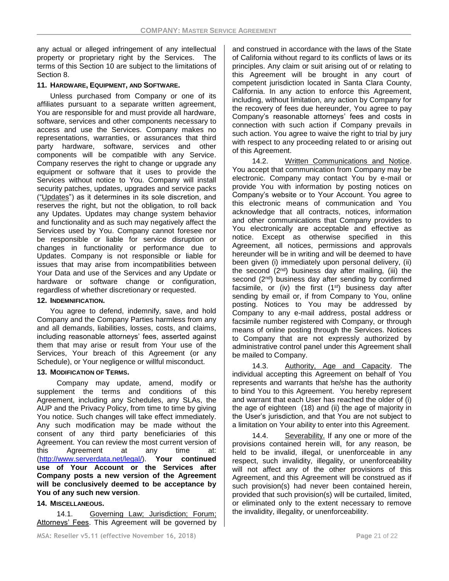any actual or alleged infringement of any intellectual property or proprietary right by the Services. The terms of this Section 10 are subject to the limitations of Section 8.

### **11. HARDWARE, EQUIPMENT, AND SOFTWARE.**

Unless purchased from Company or one of its affiliates pursuant to a separate written agreement, You are responsible for and must provide all hardware, software, services and other components necessary to access and use the Services. Company makes no representations, warranties, or assurances that third party hardware, software, services and other components will be compatible with any Service. Company reserves the right to change or upgrade any equipment or software that it uses to provide the Services without notice to You. Company will install security patches, updates, upgrades and service packs ("Updates") as it determines in its sole discretion, and reserves the right, but not the obligation, to roll back any Updates. Updates may change system behavior and functionality and as such may negatively affect the Services used by You. Company cannot foresee nor be responsible or liable for service disruption or changes in functionality or performance due to Updates. Company is not responsible or liable for issues that may arise from incompatibilities between Your Data and use of the Services and any Update or hardware or software change or configuration, regardless of whether discretionary or requested.

### **12. INDEMNIFICATION.**

You agree to defend, indemnify, save, and hold Company and the Company Parties harmless from any and all demands, liabilities, losses, costs, and claims, including reasonable attorneys' fees, asserted against them that may arise or result from Your use of the Services, Your breach of this Agreement (or any Schedule), or Your negligence or willful misconduct.

### **13. MODIFICATION OF TERMS.**

Company may update, amend, modify or supplement the terms and conditions of this Agreement, including any Schedules, any SLAs, the AUP and the Privacy Policy, from time to time by giving You notice. Such changes will take effect immediately. Any such modification may be made without the consent of any third party beneficiaries of this Agreement. You can review the most current version of this Agreement at any time at: [\(http://www.serverdata.net/legal/\)](http://www.serverdata.net/legal/). **Your continued use of Your Account or the Services after Company posts a new version of the Agreement will be conclusively deemed to be acceptance by You of any such new version**.

## **14. MISCELLANEOUS.**

14.1. Governing Law; Jurisdiction; Forum; Attorneys' Fees. This Agreement will be governed by and construed in accordance with the laws of the State of California without regard to its conflicts of laws or its principles. Any claim or suit arising out of or relating to this Agreement will be brought in any court of competent jurisdiction located in Santa Clara County, California. In any action to enforce this Agreement, including, without limitation, any action by Company for the recovery of fees due hereunder, You agree to pay Company's reasonable attorneys' fees and costs in connection with such action if Company prevails in such action. You agree to waive the right to trial by jury with respect to any proceeding related to or arising out of this Agreement.

14.2. Written Communications and Notice. You accept that communication from Company may be electronic. Company may contact You by e-mail or provide You with information by posting notices on Company's website or to Your Account. You agree to this electronic means of communication and You acknowledge that all contracts, notices, information and other communications that Company provides to You electronically are acceptable and effective as notice. Except as otherwise specified in this Agreement, all notices, permissions and approvals hereunder will be in writing and will be deemed to have been given (i) immediately upon personal delivery, (ii) the second  $(2^{nd})$  business day after mailing, (iii) the second (2<sup>nd</sup>) business day after sending by confirmed facsimile, or (iv) the first  $(1<sup>st</sup>)$  business day after sending by email or, if from Company to You, online posting. Notices to You may be addressed by Company to any e-mail address, postal address or facsimile number registered with Company, or through means of online posting through the Services. Notices to Company that are not expressly authorized by administrative control panel under this Agreement shall be mailed to Company.

14.3. Authority, Age and Capacity. The individual accepting this Agreement on behalf of You represents and warrants that he/she has the authority to bind You to this Agreement. You hereby represent and warrant that each User has reached the older of (i) the age of eighteen (18) and (ii) the age of majority in the User's jurisdiction, and that You are not subject to a limitation on Your ability to enter into this Agreement.

14.4. Severability. If any one or more of the provisions contained herein will, for any reason, be held to be invalid, illegal, or unenforceable in any respect, such invalidity, illegality, or unenforceability will not affect any of the other provisions of this Agreement, and this Agreement will be construed as if such provision(s) had never been contained herein, provided that such provision(s) will be curtailed, limited, or eliminated only to the extent necessary to remove the invalidity, illegality, or unenforceability.